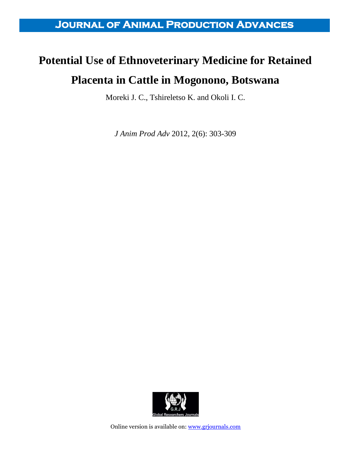**Journal of Animal Production Advances** 

## **Potential Use of Ethnoveterinary Medicine for Retained Placenta in Cattle in Mogonono, Botswana**

Moreki J. C., Tshireletso K. and Okoli I. C.

*J Anim Prod Adv* 2012, 2(6): 303-309



Online version is available on: [www.grjournals.com](http://www.grjournals.com/)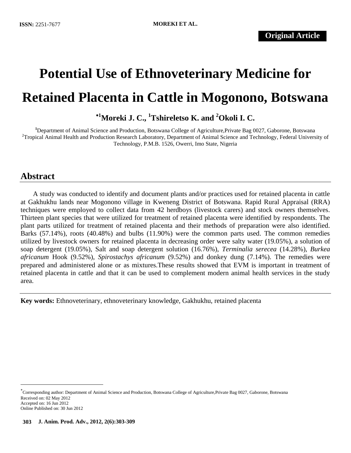# **Potential Use of Ethnoveterinary Medicine for Retained Placenta in Cattle in Mogonono, Botswana**

**<sup>1</sup>Moreki J. C., <sup>1</sup>Tshireletso K. and <sup>2</sup>Okoli I. C.**

**<sup>1</sup>**Department of Animal Science and Production, Botswana College of Agriculture,Private Bag 0027, Gaborone, Botswana <sup>2</sup>Tropical Animal Health and Production Research Laboratory, Department of Animal Science and Technology, Federal University of Technology, P.M.B. 1526, Owerri, Imo State, Nigeria

### **Abstract**

 $\overline{\phantom{a}}$ 

A study was conducted to identify and document plants and/or practices used for retained placenta in cattle at Gakhukhu lands near Mogonono village in Kweneng District of Botswana. Rapid Rural Appraisal (RRA) techniques were employed to collect data from 42 herdboys (livestock carers) and stock owners themselves. Thirteen plant species that were utilized for treatment of retained placenta were identified by respondents. The plant parts utilized for treatment of retained placenta and their methods of preparation were also identified. Barks (57.14%), roots (40.48%) and bulbs (11.90%) were the common parts used. The common remedies utilized by livestock owners for retained placenta in decreasing order were salty water (19.05%), a solution of soap detergent (19.05%), Salt and soap detergent solution (16.76%), *Terminalia serecea* (14.28%), *Burkea africanum* Hook (9.52%), *Spirostachys africanum* (9.52%) and donkey dung (7.14%). The remedies were prepared and administered alone or as mixtures.These results showed that EVM is important in treatment of retained placenta in cattle and that it can be used to complement modern animal health services in the study area.

**Key words:** Ethnoveterinary, ethnoveterinary knowledge, Gakhukhu, retained placenta

Corresponding author: Department of Animal Science and Production, Botswana College of Agriculture,Private Bag 0027, Gaborone, Botswana Received on: 02 May 2012 Accepted on: 16 Jun 2012 Online Published on: 30 Jun 2012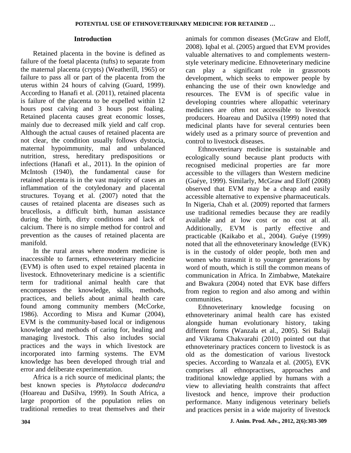#### **Introduction**

Retained placenta in the bovine is defined as failure of the foetal placenta (tufts) to separate from the maternal placenta (crypts) (Weatherill, 1965) or failure to pass all or part of the placenta from the uterus within 24 hours of calving (Guard, 1999). According to Hanafi et al. (2011), retained placenta is failure of the placenta to be expelled within 12 hours post calving and 3 hours post foaling. Retained placenta causes great economic losses, mainly due to decreased milk yield and calf crop. Although the actual causes of retained placenta are not clear, the condition usually follows dystocia, maternal hypoimmunity, mal and unbalanced nutrition, stress, hereditary predispositions or infections (Hanafi et al., 2011). In the opinion of McIntosh (1940), the fundamental cause for retained placenta is in the vast majority of cases an inflammation of the cotyledonary and placental structures. Toyang et al. (2007) noted that the causes of retained placenta are diseases such as brucellosis, a difficult birth, human assistance during the birth, dirty conditions and lack of calcium. There is no simple method for control and prevention as the causes of retained placenta are manifold.

In the rural areas where modern medicine is inaccessible to farmers, ethnoveterinary medicine (EVM) is often used to expel retained placenta in livestock. Ethnoveterinary medicine is a scientific term for traditional animal health care that encompasses the knowledge, skills, methods, practices, and beliefs about animal health care found among community members (McCorke, 1986). According to Misra and Kumar (2004), EVM is the community-based local or indigenous knowledge and methods of caring for, healing and managing livestock. This also includes social practices and the ways in which livestock are incorporated into farming systems. The EVM knowledge has been developed through trial and error and deliberate experimentation.

Africa is a rich source of medicinal plants; the best known species is *Phytolacca dodecandra* (Hoareau and DaSilva, 1999). In South Africa, a large proportion of the population relies on traditional remedies to treat themselves and their

animals for common diseases (McGraw and Eloff, 2008). Iqbal et al. (2005) argued that EVM provides valuable alternatives to and complements westernstyle veterinary medicine. Ethnoveterinary medicine can play a significant role in grassroots development, which seeks to empower people by enhancing the use of their own knowledge and resources. The EVM is of specific value in developing countries where allopathic veterinary medicines are often not accessible to livestock producers. Hoareau and DaSilva (1999) noted that medicinal plants have for several centuries been widely used as a primary source of prevention and control to livestock diseases.

Ethnoveterinary medicine is sustainable and ecologically sound because plant products with recognised medicinal properties are far more accessible to the villagers than Western medicine (Guéye, 1999). Similarly, McGraw and Eloff (2008) observed that EVM may be a cheap and easily accessible alternative to expensive pharmaceuticals. In Nigeria, Chah et al. (2009) reported that farmers use traditional remedies because they are readily available and at low cost or no cost at all. Additionally, EVM is partly effective and practicable (Kaikabo et al., 2004). Guéye (1999) noted that all the ethnoveterinary knowledge (EVK) is in the custody of older people, both men and women who transmit it to younger generations by word of mouth, which is still the common means of communication in Africa. In Zimbabwe, Matekaire and Bwakura (2004) noted that EVK base differs from region to region and also among and within communities.

Ethnoveterinary knowledge focusing on ethnoveterinary animal health care has existed alongside human evolutionary history, taking different forms (Wanzala et al., 2005). Sri Balaji and Vikrama Chakvarahi (2010) pointed out that ethnoveterinary practices concern to livestock is as old as the domestication of various livestock species. According to Wanzala et al. (2005), EVK comprises all ethnopractises, approaches and traditional knowledge applied by humans with a view to alleviating health constraints that affect livestock and hence, improve their production performance. Many indigenous veterinary beliefs and practices persist in a wide majority of livestock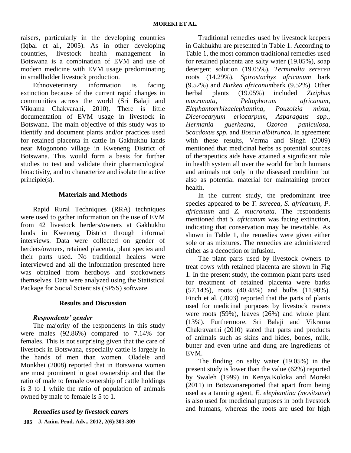raisers, particularly in the developing countries (Iqbal et al., 2005). As in other developing countries, livestock health management in Botswana is a combination of EVM and use of modern medicine with EVM usage predominating in smallholder livestock production.

Ethnoveterinary information is facing extinction because of the current rapid changes in communities across the world (Sri Balaji and Vikrama Chakvarahi, 2010). There is little documentation of EVM usage in livestock in Botswana. The main objective of this study was to identify and document plants and/or practices used for retained placenta in cattle in Gakhukhu lands near Mogonono village in Kweneng District of Botswana. This would form a basis for further studies to test and validate their pharmacological bioactivity, and to characterize and isolate the active principle(s).

#### **Materials and Methods**

Rapid Rural Techniques (RRA) techniques were used to gather information on the use of EVM from 42 livestock herders/owners at Gakhukhu lands in Kweneng District through informal interviews. Data were collected on gender of herders/owners, retained placenta, plant species and their parts used. No traditional healers were interviewed and all the information presented here was obtained from herdboys and stockowners themselves. Data were analyzed using the Statistical Package for Social Scientists (SPSS) software.

#### **Results and Discussion**

#### *Respondents' gender*

The majority of the respondents in this study were males (92.86%) compared to 7.14% for females. This is not surprising given that the care of livestock in Botswana, especially cattle is largely in the hands of men than women. Oladele and Monkhei (2008) reported that in Botswana women are most prominent in goat ownership and that the ratio of male to female ownership of cattle holdings is 3 to 1 while the ratio of population of animals owned by male to female is 5 to 1.

**J. Anim. Prod. Adv., 2012, 2(6):303-309 305***Remedies used by livestock carers*

Traditional remedies used by livestock keepers in Gakhukhu are presented in Table 1. According to Table 1, the most common traditional remedies used for retained placenta are salty water (19.05%), soap detergent solution (19.05%), *Terminalia serecea* roots (14.29%), *Spirostachys africanum* bark (9.52%) and *Burkea africanum*bark (9.52%). Other herbal plants (19.05%) included *Ziziphus mucronata, Peltophorum africanum, Elephantorrhizaelephantina, Pouzolzia mixta, Dicerocaryum eriocarpum, Asparagaus spp., Hermania guerkeana, Ozoroa paniculosa, Scacdoxus spp.* and *Boscia albitrunca*. In agreement with these results, Verma and Singh (2009) mentioned that medicinal herbs as potential sources of therapeutics aids have attained a significant role in health system all over the world for both humans and animals not only in the diseased condition but also as potential material for maintaining proper health.

In the current study, the predominant tree species appeared to be *T. serecea*, *S. africanum, P. africanum* and *Z. mucronata*. The respondents mentioned that *S. africanum* was facing extinction, indicating that conservation may be inevitable. As shown in Table 1, the remedies were given either sole or as mixtures. The remedies are administered either as a decoction or infusion.

The plant parts used by livestock owners to treat cows with retained placenta are shown in Fig 1. In the present study, the common plant parts used for treatment of retained placenta were barks (57.14%), roots (40.48%) and bulbs (11.90%). Finch et al. (2003) reported that the parts of plants used for medicinal purposes by livestock rearers were roots (59%), leaves (26%) and whole plant (13%). Furthermore, Sri Balaji and Vikrama Chakravarthi (2010) stated that parts and products of animals such as skins and hides, bones, milk, butter and even urine and dung are ingredients of EVM.

The finding on salty water (19.05%) in the present study is lower than the value (62%) reported by Swaleh (1999) in Kenya.Koloka and Moreki (2011) in Botswanareported that apart from being used as a tanning agent, *E. elephantina (mositsane*) is also used for medicinal purposes in both livestock and humans, whereas the roots are used for high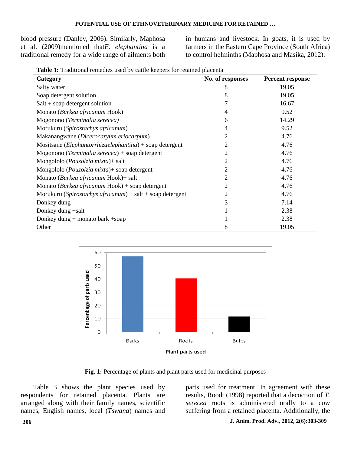blood pressure (Danley, 2006). Similarly, Maphosa et al. (2009)mentioned that*E. elephantina* is a traditional remedy for a wide range of ailments both

in humans and livestock. In goats, it is used by farmers in the Eastern Cape Province (South Africa) to control helminths (Maphosa and Masika, 2012).

| Table 1: Traditional remedies used by cattle keepers for retained placenta |  |  |  |  |
|----------------------------------------------------------------------------|--|--|--|--|

| л.<br>Category                                                   | No. of responses | <b>Percent response</b> |
|------------------------------------------------------------------|------------------|-------------------------|
| Salty water                                                      | 8                | 19.05                   |
| Soap detergent solution                                          | 8                | 19.05                   |
| $Salt + soap$ detergent solution                                 | 7                | 16.67                   |
| Monato (Burkea africanum Hook)                                   | 4                | 9.52                    |
| Mogonono (Terminalia serecea)                                    | 6                | 14.29                   |
| Morukuru (Spirostachys africanum)                                | $\overline{4}$   | 9.52                    |
| Makanangwane (Dicerocaryum eriocarpum)                           | 2                | 4.76                    |
| Mositsane ( <i>Elephantorrhizaelephantina</i> ) + soap detergent | 2                | 4.76                    |
| Mogonono (Terminalia serecea) + soap detergent                   | 2                | 4.76                    |
| Mongololo (Pouzolzia mixta) + salt                               | 2                | 4.76                    |
| Mongololo (Pouzolzia mixta) + soap detergent                     | $\overline{2}$   | 4.76                    |
| Monato (Burkea africanum Hook)+ salt                             | 2                | 4.76                    |
| Monato (Burkea africanum Hook) + soap detergent                  | 2                | 4.76                    |
| Morukuru (Spirostachys africanum) + salt + soap detergent        | 2                | 4.76                    |
| Donkey dung                                                      | 3                | 7.14                    |
| Donkey dung +salt                                                |                  | 2.38                    |
| Donkey dung $+$ monato bark $+$ soap                             |                  | 2.38                    |
| Other                                                            | 8                | 19.05                   |



Fig. 1: Percentage of plants and plant parts used for medicinal purposes

Table 3 shows the plant species used by respondents for retained placenta. Plants are arranged along with their family names, scientific names, English names, local (*Tswana*) names and

parts used for treatment. In agreement with these results, Roodt (1998) reported that a decoction of *T. serecea* roots is administered orally to a cow suffering from a retained placenta. Additionally, the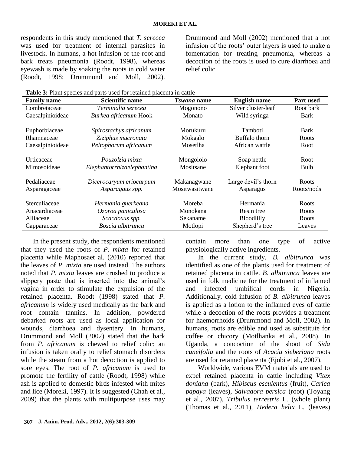respondents in this study mentioned that *T. serecea* was used for treatment of internal parasites in livestock. In humans, a hot infusion of the root and bark treats pneumonia (Roodt, 1998), whereas eyewash is made by soaking the roots in cold water (Roodt, 1998; Drummond and Moll, 2002).

Drummond and Moll (2002) mentioned that a hot infusion of the roots' outer layers is used to make a fomentation for treating pneumonia, whereas a decoction of the roots is used to cure diarrhoea and relief colic.

**Table 3:** Plant species and parts used for retained placenta in cattle

| <b>Family name</b> | <b>Scientific name</b>     | <i>Tswana</i> name | <b>English name</b> | <b>Part used</b> |
|--------------------|----------------------------|--------------------|---------------------|------------------|
| Combretaceae       | Terminalia serecea         | Mogonono           | Silver cluster-leaf | Root bark        |
| Caesalpinioideae   | Burkea africanum Hook      | Monato             | Wild syringa        | <b>Bark</b>      |
| Euphorbiaceae      | Spirostachys africanum     | Morukuru           | Tamboti             | <b>Bark</b>      |
| Rhamnaceae         | Ziziphus mucronata         | Mokgalo            | Buffalo thorn       | Roots            |
| Caesalpinioideae   | Peltophorum africanum      | Mosetlha           | African wattle      | <b>Root</b>      |
| Urticaceae         | Pouzolzia mixta            | Mongololo          | Soap nettle         | <b>Root</b>      |
| Mimosoideae        | Elephantorrhizaelephantina | Mositsane          | Elephant foot       | Bulb             |
| Pedaliaceae        | Dicerocaryum eriocarpum    | Makanagwane        | Large devil's thorn | <b>Roots</b>     |
| Asparagaceae       | Asparagaus spp.            | Mositwasitwane     | Asparagus           | Roots/nods       |
| Sterculiaceae      | Hermania guerkeana         | Moreba             | Hermania            | <b>Roots</b>     |
| Anacardiaceae      | Ozoroa paniculosa          | Monokana           | Resin tree          | Roots            |
| Alliaceae          | Scacdoxus spp.             | Sekaname           | <b>Bloodlilly</b>   | Roots            |
| Capparaceae        | Boscia albitrunca          | Motlopi            | Shepherd's tree     | Leaves           |

In the present study, the respondents mentioned that they used the roots of *P. mixta* for retained placenta while Maphosaet al. (2010) reported that the leaves of *P. mixta* are used instead. The authors noted that *P. mixta* leaves are crushed to produce a slippery paste that is inserted into the animal's vagina in order to stimulate the expulsion of the retained placenta. Roodt (1998) stated that *P. africanum* is widely used medically as the bark and root contain tannins. In addition, powdered debarked roots are used as local application for wounds, diarrhoea and dysentery. In humans, Drummond and Moll (2002) stated that the bark from *P. africanum* is chewed to relief colic; an infusion is taken orally to relief stomach disorders while the steam from a hot decoction is applied to sore eyes. The root of *P. africanum* is used to promote the fertility of cattle (Roodt, 1998) while ash is applied to domestic birds infested with mites and lice (Moreki, 1997). It is suggested (Chah et al., 2009) that the plants with multipurpose uses may

contain more than one type of active physiologically active ingredients.

In the current study, *B. albitrunca* was identified as one of the plants used for treatment of retained placenta in cattle. *B. albitrunca* leaves are used in folk medicine for the treatment of inflamed and infected umbilical cords in Nigeria. Additionally, cold infusion of *B. albitrunca* leaves is applied as a lotion to the inflamed eyes of cattle while a decoction of the roots provides a treatment for haemorrhoids (Drummond and Moll, 2002). In humans, roots are edible and used as substitute for coffee or chicory (Motlhanka et al., 2008). In Uganda, a concoction of the shoot of *Sida cuneifolia* and the roots of *Acacia sieberiana* roots are used for retained placenta (Ejobi et al.*,* 2007).

Worldwide, various EVM materials are used to expel retained placenta in cattle including *Vitex doniana* (bark), *Hibiscus esculentus* (fruit), *Carica papaya* (leaves), *Salvadora persica* (root) (Toyang et al., 2007), *Tribulus terrestris* L. (whole plant) (Thomas et al., 2011), *Hedera helix* L. (leaves)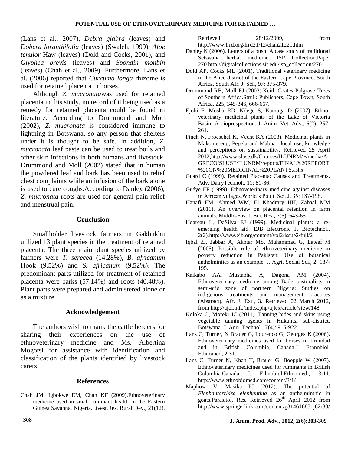(Lans et al., 2007), *Debra glabra* (leaves) and *Dobera loranthifolia* (leaves) (Swaleh, 1999), *Aloe tenuior* Haw (leaves) (Dold and Cocks, 2001), and *Glyphea brevis* (leaves) and *Spondin monbin* (leaves) (Chah et al., 2009). Furthermore, Lans et al. (2006) reported that *Curcuma longa* rhizome is used for retained placenta in horses.

Although *Z. mucronata*was used for retained placenta in this study, no record of it being used as a remedy for retained placenta could be found in literature. According to Drummond and Moll (2002), *Z. mucronata* is considered immune to lightning in Botswana, so any person that shelters under it is thought to be safe. In addition, *Z. mucronata* leaf paste can be used to treat boils and other skin infections in both humans and livestock. Drummond and Moll (2002) stated that in human the powdered leaf and bark has been used to relief chest complaints while an infusion of the bark alone is used to cure coughs.According to Danley (2006), *Z. mucronata* roots are used for general pain relief and menstrual pain.

#### **Conclusion**

Smallholder livestock farmers in Gakhukhu utilized 13 plant species in the treatment of retained placenta. The three main plant species utilized by farmers were *T. serecea* (14.28%), *B. africanum* Hook (9.52%) and *S. africanum* (9.52%). The predominant parts utilized for treatment of retained placenta were barks (57.14%) and roots (40.48%). Plant parts were prepared and administered alone or as a mixture.

#### **Acknowledgement**

The authors wish to thank the cattle herders for sharing their experiences on the use of ethnoveterinary medicine and Ms. Albertina Mogotsi for assistance with identification and classification of the plants identified by livestock carers.

#### **References**

Chah JM, Igbokwe EM, Chah KF (2009).Ethnoveterinary medicine used in small ruminant health in the Eastern Guinea Savanna, Nigeria.Livest.Res. Rural Dev., 21(12).

Retrieved 28/12/2009, from <http://www.lrrd.org/lrrd21/12/chah21221.htm>

- Danley K (2006). Letters of a bush: A case study of traditional Setswana herbal medicine. ISP Collection.Paper 270[.http://digitalcollections.sit.edu/isp\\_collection/270](http://digitalcollections.sit.edu/isp_collection/270)
- Dold AP, Cocks ML (2001). Traditional veterinary medicine in the Alice district of the Eastern Cape Province, South Africa. South Afr. J. Sci., 97: 375-379.
- Drummond RB, Moll EJ (2002).Keith Coates Palgrave Trees of Southern Africa.Struik Publishers, Cape Town, South Africa. 225, 345-346, 666-667.
- Ejobi F, Mosha RD, Ndege S, Kamoga D (2007). Ethnoveterinary medicinal plants of the Lake of Victoria Basin: A bioprospection. J. Anim. Vet. Adv., 6(2): 257- 261.
- Finch N, Froeschel K, Vecht KA (2003). Medicinal plants in Makomereng, Pepela and Mabua –local use, knowledge and perceptions on sustainability. Retrieved 25 April 2012[,http://www.sluse.dk/Courses/ILUNRM/~/media/A](http://www.sluse.dk/Courses/ILUNRM/~/media/AGRECO/SLUSE/ILUNRM/reports/FINAL%20REPORT%20ON%20MEDICINAL%20PLANTS.ashx) [GRECO/SLUSE/ILUNRM/reports/FINAL%20REPORT](http://www.sluse.dk/Courses/ILUNRM/~/media/AGRECO/SLUSE/ILUNRM/reports/FINAL%20REPORT%20ON%20MEDICINAL%20PLANTS.ashx) [%20ON%20MEDICINAL%20PLANTS.ashx](http://www.sluse.dk/Courses/ILUNRM/~/media/AGRECO/SLUSE/ILUNRM/reports/FINAL%20REPORT%20ON%20MEDICINAL%20PLANTS.ashx)
- Guard C (1999). Retained Placenta: Causes and Treatments. Adv. DairyTechnol., 11: 81-86.
- Guéye EF (1999). Ethnoveterinary medicine against diseases in African villages.World's Poult. Sci. J. 35: 187-198.
- Hanafi EM, Ahmed WM, El Khadrary HH, Zabaal MM (2011). An overview on placental retention in farm animals. Middle-East J. Sci. Res., 7(5): 643-651.
- Hoareau L, DaSilva EJ (1999). Medicinal plants: a reemerging health aid. EJB Electronic J. Biotechnol., 2(2)[.http://www.ejb.org/content/vol2/issue2/full/2](http://www.ejb.org/content/vol2/issue2/full/2)
- Iqbal ZI, Jabbar A, Akhtar MS, Muhammad G, Lateef M (2005). Possible role of ethnoveterinary medicine in poverty reduction in Pakistan: Use of botanical anthelmintics as an example. J. Agri. Social Sci., 2: 187- 195.
- Kaikabo AA, Mustapha A, Dagona AM (2004). Ethnoveterinary medicine among Bade pastoralists in semi-arid zone of northern Nigeria: Studies on indigenous treatments and management practices (Abstract). Afr. J. Ext., 3. Retrieved 02 March 2012, fro[m http://ajol.info/index.php/ajlex/article/view/148](http://ajol.info/index.php/ajlex/article/view/148)
- Koloka O, Moreki JC (2011). Tanning hides and skins using vegetable tanning agents in Hukuntsi sub-district, Botswana. J. Agri. Technol., 7(4): 915-922.
- Lans C, Turner, N Brauer G, Lourenco G, Georges K (2006). Ethnoveterinary medicines used for horses in Trinidad and in British Columbia, Canada.J. Ethnobiol. Ethnomed, 2:31.
- Lans C, Turner N, Khan T, Brauer G, Boepple W (2007). Ethnoveterinary medicines used for ruminants in British Columbia.Canada J. Ethnobiol.Ethnomed., 3:11. <http://www.ethnobiomed.com/content/3/1/11>
- Maphosa V, Masika PJ (2012). [The potential of](http://www.springerlink.com/content/g314616851j62r33/)  *[Elephantorrhiza elephantina](http://www.springerlink.com/content/g314616851j62r33/)* as an anthelminthic in [goats.](http://www.springerlink.com/content/g314616851j62r33/)Parasitol. Res. Retrieved 26<sup>th</sup> April 2012 from <http://www.springerlink.com/content/g314616851j62r33/>